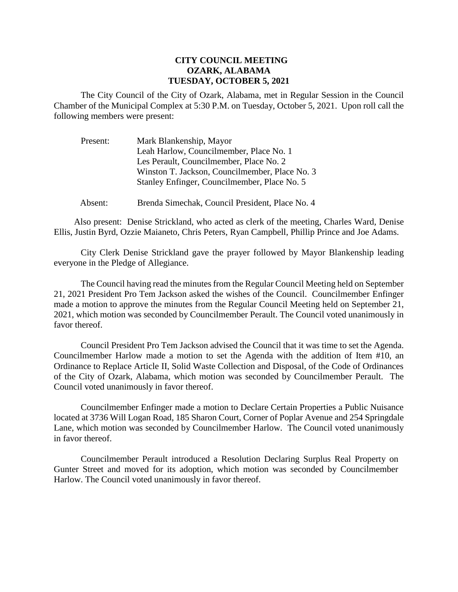## **CITY COUNCIL MEETING OZARK, ALABAMA TUESDAY, OCTOBER 5, 2021**

The City Council of the City of Ozark, Alabama, met in Regular Session in the Council Chamber of the Municipal Complex at 5:30 P.M. on Tuesday, October 5, 2021. Upon roll call the following members were present:

| Present: | Mark Blankenship, Mayor                        |
|----------|------------------------------------------------|
|          | Leah Harlow, Councilmember, Place No. 1        |
|          | Les Perault, Councilmember, Place No. 2        |
|          | Winston T. Jackson, Councilmember, Place No. 3 |
|          | Stanley Enfinger, Councilmember, Place No. 5   |
|          |                                                |

Absent: Brenda Simechak, Council President, Place No. 4

Also present: Denise Strickland, who acted as clerk of the meeting, Charles Ward, Denise Ellis, Justin Byrd, Ozzie Maianeto, Chris Peters, Ryan Campbell, Phillip Prince and Joe Adams.

City Clerk Denise Strickland gave the prayer followed by Mayor Blankenship leading everyone in the Pledge of Allegiance.

The Council having read the minutes from the Regular Council Meeting held on September 21, 2021 President Pro Tem Jackson asked the wishes of the Council. Councilmember Enfinger made a motion to approve the minutes from the Regular Council Meeting held on September 21, 2021, which motion was seconded by Councilmember Perault. The Council voted unanimously in favor thereof.

Council President Pro Tem Jackson advised the Council that it was time to set the Agenda. Councilmember Harlow made a motion to set the Agenda with the addition of Item #10, an Ordinance to Replace Article II, Solid Waste Collection and Disposal, of the Code of Ordinances of the City of Ozark, Alabama, which motion was seconded by Councilmember Perault. The Council voted unanimously in favor thereof.

Councilmember Enfinger made a motion to Declare Certain Properties a Public Nuisance located at 3736 Will Logan Road, 185 Sharon Court, Corner of Poplar Avenue and 254 Springdale Lane, which motion was seconded by Councilmember Harlow. The Council voted unanimously in favor thereof.

Councilmember Perault introduced a Resolution Declaring Surplus Real Property on Gunter Street and moved for its adoption, which motion was seconded by Councilmember Harlow. The Council voted unanimously in favor thereof.